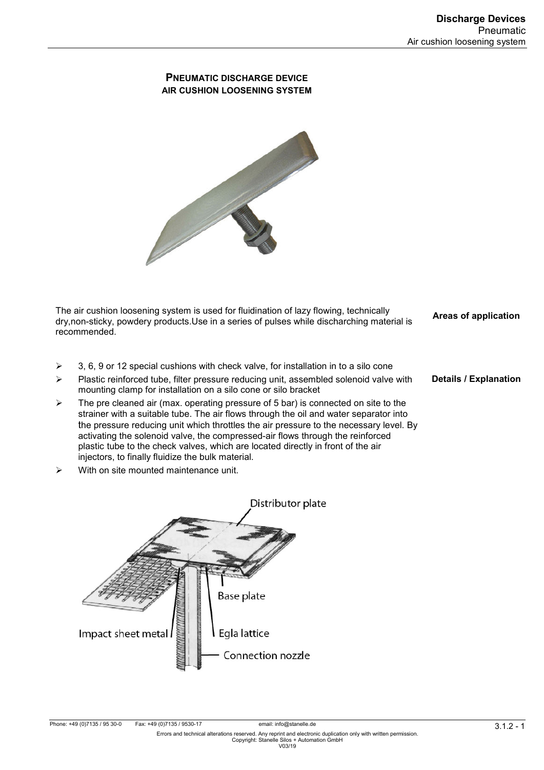**Details / Explanation** 

# **PNEUMATIC DISCHARGE DEVICE AIR CUSHION LOOSENING SYSTEM**



The air cushion loosening system is used for fluidination of lazy flowing, technically dry,non-sticky, powdery products.Use in a series of pulses while discharching material is recommended. **Areas of application** 

- $\geq$  3, 6, 9 or 12 special cushions with check valve, for installation in to a silo cone
- $\triangleright$  Plastic reinforced tube, filter pressure reducing unit, assembled solenoid valve with mounting clamp for installation on a silo cone or silo bracket
- $\triangleright$  The pre cleaned air (max. operating pressure of 5 bar) is connected on site to the strainer with a suitable tube. The air flows through the oil and water separator into the pressure reducing unit which throttles the air pressure to the necessary level. By activating the solenoid valve, the compressed-air flows through the reinforced plastic tube to the check valves, which are located directly in front of the air injectors, to finally fluidize the bulk material.
- With on site mounted maintenance unit.

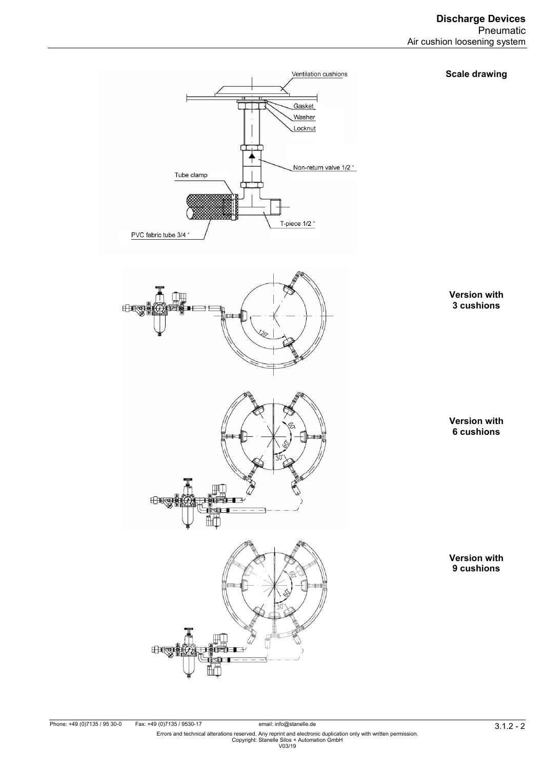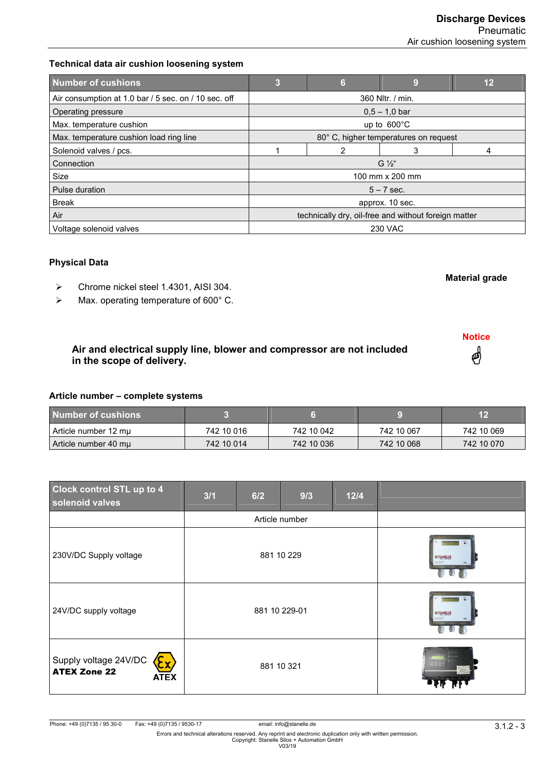**Material grade**

**Notice**

4

# **Technical data air cushion loosening system**

| <b>Number of cushions</b>                            | 3                                                    | 6 | 9 | 12 |
|------------------------------------------------------|------------------------------------------------------|---|---|----|
| Air consumption at 1.0 bar / 5 sec. on / 10 sec. off | 360 Nltr. / min.                                     |   |   |    |
| Operating pressure                                   | $0.5 - 1.0$ bar                                      |   |   |    |
| Max. temperature cushion                             | up to $600^{\circ}$ C                                |   |   |    |
| Max. temperature cushion load ring line              | 80° C, higher temperatures on request                |   |   |    |
| Solenoid valves / pcs.                               |                                                      | 2 | 3 | 4  |
| Connection                                           | $G\frac{1}{2}$ "                                     |   |   |    |
| Size                                                 | 100 mm x 200 mm                                      |   |   |    |
| Pulse duration                                       | $5 - 7$ sec.                                         |   |   |    |
| <b>Break</b>                                         | approx. 10 sec.                                      |   |   |    |
| Air                                                  | technically dry, oil-free and without foreign matter |   |   |    |
| Voltage solenoid valves                              | <b>230 VAC</b>                                       |   |   |    |

## **Physical Data**

- Chrome nickel steel 1.4301, AISI 304.
- > Max. operating temperature of 600° C.

# **Air and electrical supply line, blower and compressor are not included in the scope of delivery.**

#### **Article number – complete systems**

| Number of cushions   |            |            |            | 12         |
|----------------------|------------|------------|------------|------------|
| Article number 12 mµ | 742 10 016 | 742 10 042 | 742 10 067 | 742 10 069 |
| Article number 40 mu | 742 10 014 | 742 10 036 | 742 10 068 | 742 10 070 |

| <b>Clock control STL up to 4</b><br>solenoid valves         | 3/1            | 6/2 | 9/3 | $12/4$                                     |  |
|-------------------------------------------------------------|----------------|-----|-----|--------------------------------------------|--|
|                                                             | Article number |     |     |                                            |  |
| 230V/DC Supply voltage                                      | 881 10 229     |     |     | <b>WSTANELLE</b><br>e comme.<br>Dirette de |  |
| 24V/DC supply voltage                                       | 881 10 229-01  |     |     | <b>WSTANELLE</b>                           |  |
| Supply voltage 24V/DC<br><b>ATEX Zone 22</b><br><b>ATEX</b> | 881 10 321     |     |     | <b>Birman</b><br>0000<br>回图图               |  |

email: info@stanelle.de<br>3 . 1.2 . 1 . Errors and technical alterations reserved. Any reprint and electronic duplication only with written permission.<br>Errors and technical alterations reserved. Any reprint and electronic d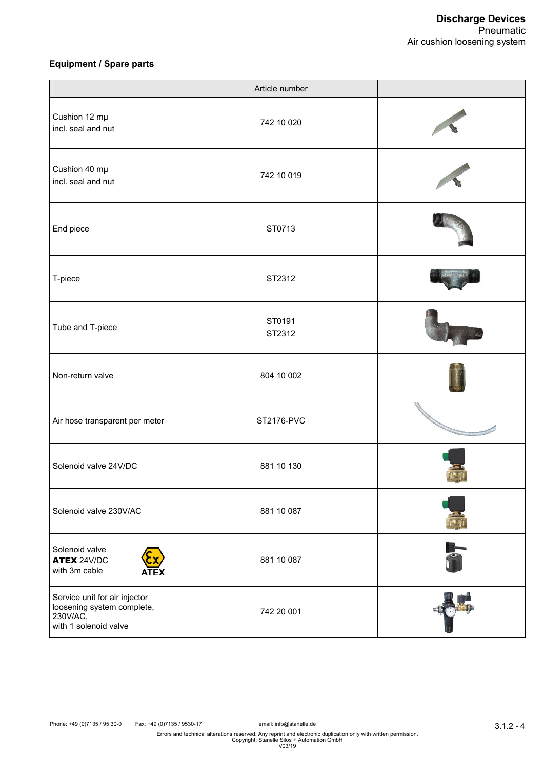## **Equipment / Spare parts**

|                                                                                                  | Article number   |  |
|--------------------------------------------------------------------------------------------------|------------------|--|
| Cushion 12 mµ<br>incl. seal and nut                                                              | 742 10 020       |  |
| Cushion 40 mµ<br>incl. seal and nut                                                              | 742 10 019       |  |
| End piece                                                                                        | ST0713           |  |
| T-piece                                                                                          | ST2312           |  |
| Tube and T-piece                                                                                 | ST0191<br>ST2312 |  |
| Non-return valve                                                                                 | 804 10 002       |  |
| Air hose transparent per meter                                                                   | ST2176-PVC       |  |
| Solenoid valve 24V/DC                                                                            | 881 10 130       |  |
| Solenoid valve 230V/AC                                                                           | 881 10 087       |  |
| Solenoid valve<br><b>ATEX 24V/DC</b><br>with 3m cable                                            | 881 10 087       |  |
| Service unit for air injector<br>loosening system complete,<br>230V/AC,<br>with 1 solenoid valve | 742 20 001       |  |